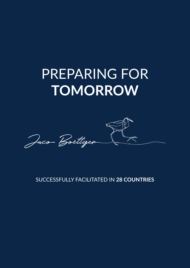# PREPARING FOR **TOMORROW**



SUCCESSFULLY FACILITATED IN **28 COUNTRIES**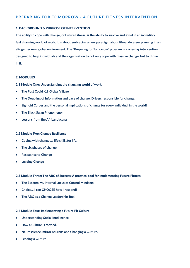# **PREPARING FOR TOMORROW - A FUTURE FITNESS INTERVENTION**

### 1. BACKGROUND & PURPOSE OF INTERVENTION

**The ability to cope with change, or Future Fitness, is the ability to survive and excel in an incredibly fast changing world of work. It is about embracing a new paradigm about life-and-career planning in an altogether new global environment. The "Preparing for Tomorrow" program is a one-day intervention designed to help individuals and the organisation to not only cope with massive change. but to thrive in it.**

## 2. MODULES

#### 2.1 Module One: Understanding the changing world of work

- **• The Post Covid -19 Global Village**
- **• The Doubling of Information and pace of change: Drivers responsible for change.**
- **• Sigmoid Curves and the personal implications of change for every individual in the world!**
- **• The Black Swan Phenomenon**
- **• Lessons from the African Jacana**

#### 2.2 Module Two: Change Resilience

- **• Coping with change...a life skill...for life.**
- **• The six phases of change.**
- **• Resistance to Change**
- **• Leading Change**

#### 2.3 Module Three: The ABC of Success: A practical tool for implementing Future Fitness

- **• The External vs. Internal Locus of Control Mindsets.**
- **• Choice... I can CHOOSE how I respond!**
- **• The ABC as a Change Leadership Tool.**

#### 2.4 Module Four: Implementing a Future Fit Culture

- **• Understanding Social Intelligence.**
- **• How a Culture is formed.**
- **• Neuroscience, mirror neurons and Changing a Culture.**
- **• Leading a Culture**